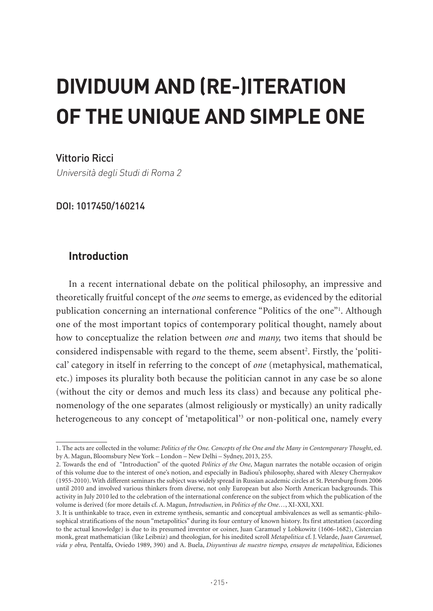## **DIVIDUUM AND (RE-)ITERATION OF THE UNIQUE AND SIMPLE ONE**

Vittorio Ricci

Università degli Studi di Roma 2

DOI: 1017450/160214

## **Introduction**

In a recent international debate on the political philosophy, an impressive and theoretically fruitful concept of the *one* seems to emerge, as evidenced by the editorial publication concerning an international conference "Politics of the one"1 . Although one of the most important topics of contemporary political thought, namely about how to conceptualize the relation between *one* and *many,* two items that should be considered indispensable with regard to the theme, seem absent<sup>2</sup>. Firstly, the 'political' category in itself in referring to the concept of *one* (metaphysical, mathematical, etc.) imposes its plurality both because the politician cannot in any case be so alone (without the city or demos and much less its class) and because any political phenomenology of the one separates (almost religiously or mystically) an unity radically heterogeneous to any concept of 'metapolitical'<sup>3</sup> or non-political one, namely every

<sup>1.</sup> The acts are collected in the volume: *Politics of the One. Concepts of the One and the Many in Contemporary Thought*, ed. by A. Magun, Bloomsbury New York – London – New Delhi – Sydney, 2013, 255.

<sup>2.</sup> Towards the end of "Introduction" of the quoted *Politics of the One*, Magun narrates the notable occasion of origin of this volume due to the interest of one's notion, and especially in Badiou's philosophy, shared with Alexey Chernyakov (1955-2010). With different seminars the subject was widely spread in Russian academic circles at St. Petersburg from 2006 until 2010 and involved various thinkers from diverse, not only European but also North American backgrounds. This activity in July 2010 led to the celebration of the international conference on the subject from which the publication of the volume is derived (for more details cf. A. Magun, *Introduction*, in *Politics of the One…*, XI-XXI, XXI.

<sup>3.</sup> It is unthinkable to trace, even in extreme synthesis, semantic and conceptual ambivalences as well as semantic-philosophical stratifications of the noun "metapolitics" during its four century of known history. Its first attestation (according to the actual knowledge) is due to its presumed inventor or coiner, Juan Caramuel y Lobkowitz (1606-1682), Cistercian monk, great mathematician (like Leibniz) and theologian, for his inedited scroll *Metapolitica* cf. J. Velarde, *Juan Caramuel, vida y obra,* Pentalfa, Oviedo 1989, 390) and A. Buela, *Disyuntivas de nuestro tiempo, ensayos de metapolítica*, Ediciones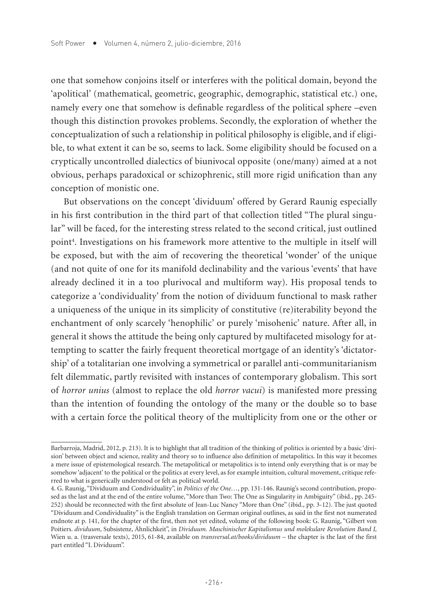one that somehow conjoins itself or interferes with the political domain, beyond the 'apolitical' (mathematical, geometric, geographic, demographic, statistical etc.) one, namely every one that somehow is definable regardless of the political sphere –even though this distinction provokes problems. Secondly, the exploration of whether the conceptualization of such a relationship in political philosophy is eligible, and if eligible, to what extent it can be so, seems to lack. Some eligibility should be focused on a cryptically uncontrolled dialectics of biunivocal opposite (one/many) aimed at a not obvious, perhaps paradoxical or schizophrenic, still more rigid unification than any conception of monistic one.

But observations on the concept 'dividuum' offered by Gerard Raunig especially in his first contribution in the third part of that collection titled "The plural singular" will be faced, for the interesting stress related to the second critical, just outlined point<sup>4</sup>. Investigations on his framework more attentive to the multiple in itself will be exposed, but with the aim of recovering the theoretical 'wonder' of the unique (and not quite of one for its manifold declinability and the various 'events' that have already declined it in a too plurivocal and multiform way). His proposal tends to categorize a 'condividuality' from the notion of dividuum functional to mask rather a uniqueness of the unique in its simplicity of constitutive (re)iterability beyond the enchantment of only scarcely 'henophilic' or purely 'misohenic' nature. After all, in general it shows the attitude the being only captured by multifaceted misology for attempting to scatter the fairly frequent theoretical mortgage of an identity's 'dictatorship' of a totalitarian one involving a symmetrical or parallel anti-communitarianism felt dilemmatic, partly revisited with instances of contemporary globalism. This sort of *horror unius* (almost to replace the old *horror vacui*) is manifested more pressing than the intention of founding the ontology of the many or the double so to base with a certain force the political theory of the multiplicity from one or the other or

Barbarroja, Madrid, 2012, p. 213). It is to highlight that all tradition of the thinking of politics is oriented by a basic 'division' between object and science, reality and theory so to influence also definition of metapolitics. In this way it becomes a mere issue of epistemological research. The metapolitical or metapolitics is to intend only everything that is or may be somehow 'adjacent' to the political or the politics at every level, as for example intuition, cultural movement, critique referred to what is generically understood or felt as political world.

<sup>4.</sup> G. Raunig, "Dividuum and Condividuality", in *Politics of the One…*, pp. 131-146. Raunig's second contribution, proposed as the last and at the end of the entire volume, "More than Two: The One as Singularity in Ambiguity" (ibid*.*, pp. 245- 252) should be reconnected with the first absolute of Jean-Luc Nancy "More than One" (ibid., pp. 3-12). The just quoted "Dividuum and Condividuality" is the English translation on German original outlines, as said in the first not numerated endnote at p. 141, for the chapter of the first, then not yet edited, volume of the following book: G. Raunig, "Gilbert von Poitiers. *dividuum*, Subsistenz, Ähnlichkeit", in *Dividuum. Maschinischer Kapitalismus und molekulare Revolution Band I,*  Wien u. a. (trasversale texts), 2015, 61-84, available on *transversal.at/books/dividuum* – the chapter is the last of the first part entitled "I. Dividuum".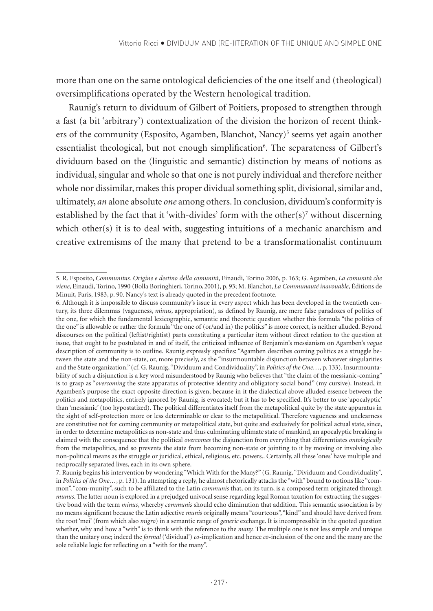more than one on the same ontological deficiencies of the one itself and (theological) oversimplifications operated by the Western henological tradition.

Raunig's return to dividuum of Gilbert of Poitiers, proposed to strengthen through a fast (a bit 'arbitrary') contextualization of the division the horizon of recent thinkers of the community (Esposito, Agamben, Blanchot, Nancy)<sup>5</sup> seems yet again another essentialist theological, but not enough simplification<sup>6</sup>. The separateness of Gilbert's dividuum based on the (linguistic and semantic) distinction by means of notions as individual, singular and whole so that one is not purely individual and therefore neither whole nor dissimilar, makes this proper dividual something split, divisional, similar and, ultimately, *an* alone absolute *one* among others. In conclusion, dividuum's conformity is established by the fact that it 'with-divides' form with the other $(s)$ <sup>7</sup> without discerning which other(s) it is to deal with, suggesting intuitions of a mechanic anarchism and creative extremisms of the many that pretend to be a transformationalist continuum

<sup>5.</sup> R. Esposito, *Communitas. Origine e destino della comunità*, Einaudi, Torino 2006, p. 163; G. Agamben, *La comunità che viene*, Einaudi, Torino, 1990 (Bolla Boringhieri, Torino,2001), p. 93; M. Blanchot, *La Communauté inavouable*, Éditions de Minuit, Paris, 1983, p. 90. Nancy's text is already quoted in the precedent footnote.

<sup>6.</sup> Although it is impossible to discuss community's issue in every aspect which has been developed in the twentieth century, its three dilemmas (vagueness, *minus*, appropriation), as defined by Raunig, are mere false paradoxes of politics of the one, for which the fundamental lexicographic, semantic and theoretic question whether this formula "the politics of the one" is allowable or rather the formula "the one of (or/and in) the politics" is more correct, is neither alluded. Beyond discourses on the political (leftist/rightist) parts constituting a particular item without direct relation to the question at issue, that ought to be postulated in and of itself, the criticized influence of Benjamin's messianism on Agamben's *vague* description of community is to outline. Raunig expressly specifies: "Agamben describes coming politics as a struggle between the state and the non-state, or, more precisely, as the "insurmountable disjunction between whatever singularities and the State organization." (cf. G. Raunig, "Dividuum and Condividuality", in *Politics of the One…*, p. 133). Insurmountability of such a disjunction is a key word misunderstood by Raunig who believes that "the claim of the messianic-coming" is to grasp as "*overcoming* the state apparatus of protective identity and obligatory social bond" (my cursive). Instead, in Agamben's purpose the exact opposite direction is given, because in it the dialectical above alluded essence between the politics and metapolitics, entirely ignored by Raunig, is evocated; but it has to be specified. It's better to use 'apocalyptic' than 'messianic' (too hypostatized). The political differentiates itself from the metapolitical quite by the state apparatus in the sight of self-protection more or less determinable or clear to the metapolitical. Therefore vagueness and unclearness are constitutive not for coming community or metapolitical state, but quite and exclusively for political actual state, since, in order to determine metapolitics as non-state and thus culminating ultimate state of mankind, an apocalyptic breaking is claimed with the consequence that the political *overcomes* the disjunction from everything that differentiates *ontologically* from the metapolitics, and so prevents the state from becoming non-state or jointing to it by moving or involving also non-political means as the struggle or juridical, ethical, religious, etc. powers.. Certainly, all these 'ones' have multiple and reciprocally separated lives, each in its own sphere.

<sup>7.</sup> Raunig begins his intervention by wondering "Which With for the Many?" (G. Raunig, "Dividuum and Condividuality", in *Politics of the One…*, p. 131). In attempting a reply, he almost rhetorically attacks the "with" bound to notions like "common", "com-munity", such to be affiliated to the Latin *communis* that, on its turn, is a composed term originated through *munus*. The latter noun is explored in a prejudged univocal sense regarding legal Roman taxation for extracting the suggestive bond with the term *minus*, whereby *communis* should echo diminution that addition. This semantic association is by no means significant because the Latin adjective *munis* originally means "courteous", "kind" and should have derived from the root 'mei' (from which also *migro*) in a semantic range of *generic* exchange. It is incompressible in the quoted question whether, why and how a "with" is to think with the reference to the *many.* The multiple one is not less simple and unique than the unitary one; indeed the *formal* ('dividual') *co*-implication and hence *co*-inclusion of the one and the many are the sole reliable logic for reflecting on a "with for the many".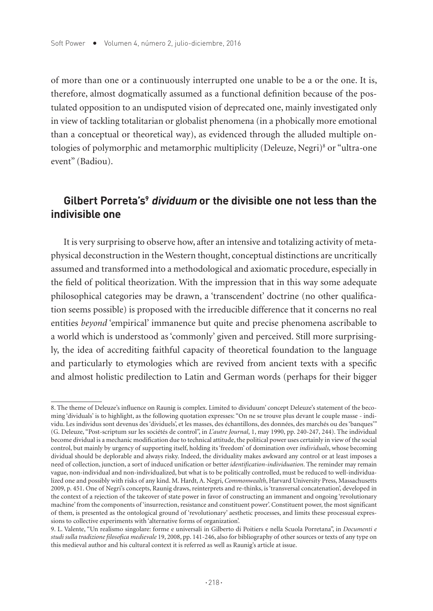of more than one or a continuously interrupted one unable to be a or the one. It is, therefore, almost dogmatically assumed as a functional definition because of the postulated opposition to an undisputed vision of deprecated one, mainly investigated only in view of tackling totalitarian or globalist phenomena (in a phobically more emotional than a conceptual or theoretical way), as evidenced through the alluded multiple ontologies of polymorphic and metamorphic multiplicity (Deleuze, Negri)8 or "ultra-one event" (Badiou).

## **Gilbert Porreta's9 dividuum or the divisible one not less than the indivisible one**

It is very surprising to observe how, after an intensive and totalizing activity of metaphysical deconstruction in the Western thought, conceptual distinctions are uncritically assumed and transformed into a methodological and axiomatic procedure, especially in the field of political theorization. With the impression that in this way some adequate philosophical categories may be drawn, a 'transcendent' doctrine (no other qualification seems possible) is proposed with the irreducible difference that it concerns no real entities *beyond* 'empirical' immanence but quite and precise phenomena ascribable to a world which is understood as 'commonly' given and perceived. Still more surprisingly, the idea of accrediting faithful capacity of theoretical foundation to the language and particularly to etymologies which are revived from ancient texts with a specific and almost holistic predilection to Latin and German words (perhaps for their bigger

<sup>8.</sup> The theme of Deleuze's influence on Raunig is complex. Limited to dividuum' concept Deleuze's statement of the becoming 'dividuals' is to highlight, as the following quotation expresses: "On ne se trouve plus devant le couple masse - individu. Les individus sont devenus des 'dividuels', et les masses, des échantillons, des données, des marchés ou des 'banques'" (G. Deleuze, "Post-scriptum sur les sociétés de control", in *L'autre Journal*, 1, may 1990, pp. 240-247, 244). The individual become dividual is a mechanic modification due to technical attitude, the political power uses certainly in view of the social control, but mainly by urgency of supporting itself, holding its 'freedom' of domination over *individuals*, whose becoming dividual should be deplorable and always risky. Indeed, the dividuality makes awkward any control or at least imposes a need of collection, junction, a sort of induced unification or better *identification-individuation*. The reminder may remain vague, non-individual and non-individualized, but what is to be politically controlled, must be reduced to well-individualized one and possibly with risks of any kind. M. Hardt, A. Negri, *Commonwealth*, Harvard University Press, Massachusetts 2009, p. 451. One of Negri's concepts, Raunig draws, reinterprets and re-thinks, is 'transversal concatenation', developed in the context of a rejection of the takeover of state power in favor of constructing an immanent and ongoing 'revolutionary machine' from the components of 'insurrection, resistance and constituent power'. Constituent power, the most significant of them, is presented as the ontological ground of 'revolutionary' aesthetic processes, and limits these processual expressions to collective experiments with 'alternative forms of organization'.

<sup>9.</sup> L. Valente, "Un realismo singolare: forme e universali in Gilberto di Poitiers e nella Scuola Porretana", in *Documenti e studi sulla tradizione filosofica medievale* 19, 2008, pp. 141-246, also for bibliography of other sources or texts of any type on this medieval author and his cultural context it is referred as well as Raunig's article at issue.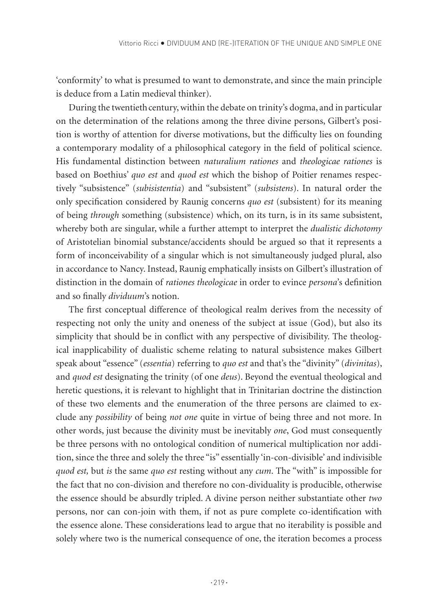'conformity' to what is presumed to want to demonstrate, and since the main principle is deduce from a Latin medieval thinker).

During the twentieth century, within the debate on trinity's dogma, and in particular on the determination of the relations among the three divine persons, Gilbert's position is worthy of attention for diverse motivations, but the difficulty lies on founding a contemporary modality of a philosophical category in the field of political science. His fundamental distinction between *naturalium rationes* and *theologicae rationes* is based on Boethius' *quo est* and *quod est* which the bishop of Poitier renames respectively "subsistence" (*subisistentia*) and "subsistent" (*subsistens*). In natural order the only specification considered by Raunig concerns *quo est* (subsistent) for its meaning of being *through* something (subsistence) which, on its turn, is in its same subsistent, whereby both are singular, while a further attempt to interpret the *dualistic dichotomy*  of Aristotelian binomial substance/accidents should be argued so that it represents a form of inconceivability of a singular which is not simultaneously judged plural, also in accordance to Nancy. Instead, Raunig emphatically insists on Gilbert's illustration of distinction in the domain of *rationes theologicae* in order to evince *persona*'s definition and so finally *dividuum*'s notion.

The first conceptual difference of theological realm derives from the necessity of respecting not only the unity and oneness of the subject at issue (God), but also its simplicity that should be in conflict with any perspective of divisibility. The theological inapplicability of dualistic scheme relating to natural subsistence makes Gilbert speak about "essence" (*essentia*) referring to *quo est* and that's the "divinity" (*divinitas*), and *quod est* designating the trinity (of one *deus*). Beyond the eventual theological and heretic questions, it is relevant to highlight that in Trinitarian doctrine the distinction of these two elements and the enumeration of the three persons are claimed to exclude any *possibility* of being *not one* quite in virtue of being three and not more. In other words, just because the divinity must be inevitably *one*, God must consequently be three persons with no ontological condition of numerical multiplication nor addition, since the three and solely the three "is" essentially 'in-con-divisible' and indivisible *quod est,* but *is* the same *quo est* resting without any *cum*. The "with" is impossible for the fact that no con-division and therefore no con-dividuality is producible, otherwise the essence should be absurdly tripled. A divine person neither substantiate other *two*  persons, nor can con-join with them, if not as pure complete co-identification with the essence alone. These considerations lead to argue that no iterability is possible and solely where two is the numerical consequence of one, the iteration becomes a process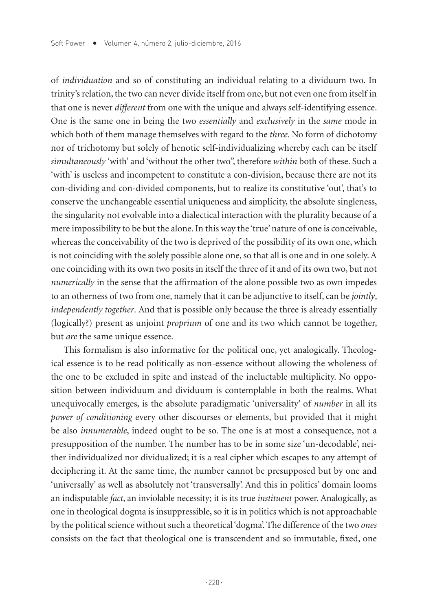of *individuation* and so of constituting an individual relating to a dividuum two. In trinity's relation, the two can never divide itself from one, but not even one from itself in that one is never *different* from one with the unique and always self-identifying essence. One is the same one in being the two *essentially* and *exclusively* in the *same* mode in which both of them manage themselves with regard to the *three.* No form of dichotomy nor of trichotomy but solely of henotic self-individualizing whereby each can be itself *simultaneously* 'with' and 'without the other two", therefore *within* both of these. Such a 'with' is useless and incompetent to constitute a con-division, because there are not its con-dividing and con-divided components, but to realize its constitutive 'out', that's to conserve the unchangeable essential uniqueness and simplicity, the absolute singleness, the singularity not evolvable into a dialectical interaction with the plurality because of a mere impossibility to be but the alone. In this way the 'true' nature of one is conceivable, whereas the conceivability of the two is deprived of the possibility of its own one, which is not coinciding with the solely possible alone one, so that all is one and in one solely. A one coinciding with its own two posits in itself the three of it and of its own two, but not *numerically* in the sense that the affirmation of the alone possible two as own impedes to an otherness of two from one, namely that it can be adjunctive to itself, can be *jointly*, *independently together*. And that is possible only because the three is already essentially (logically?) present as unjoint *proprium* of one and its two which cannot be together, but *are* the same unique essence.

This formalism is also informative for the political one, yet analogically. Theological essence is to be read politically as non-essence without allowing the wholeness of the one to be excluded in spite and instead of the ineluctable multiplicity. No opposition between individuum and dividuum is contemplable in both the realms. What unequivocally emerges, is the absolute paradigmatic 'universality' of *number* in all its *power of conditioning* every other discourses or elements, but provided that it might be also *innumerable*, indeed ought to be so. The one is at most a consequence, not a presupposition of the number. The number has to be in some size 'un-decodable', neither individualized nor dividualized; it is a real cipher which escapes to any attempt of deciphering it. At the same time, the number cannot be presupposed but by one and 'universally' as well as absolutely not 'transversally'. And this in politics' domain looms an indisputable *fact*, an inviolable necessity; it is its true *instituent* power. Analogically, as one in theological dogma is insuppressible, so it is in politics which is not approachable by the political science without such a theoretical 'dogma'. The difference of the two *ones*  consists on the fact that theological one is transcendent and so immutable, fixed, one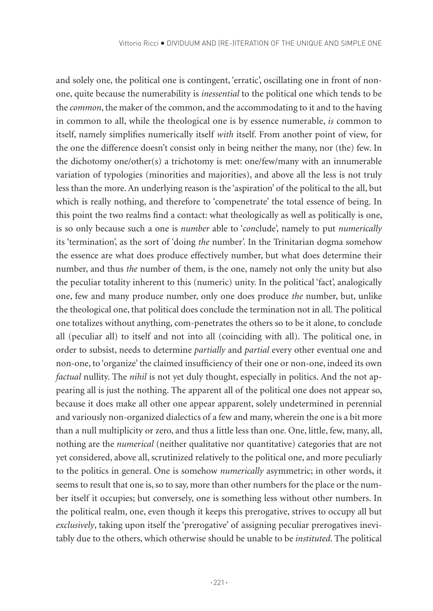and solely one, the political one is contingent, 'erratic', oscillating one in front of nonone, quite because the numerability is *inessential* to the political one which tends to be the *common*, the maker of the common, and the accommodating to it and to the having in common to all, while the theological one is by essence numerable, *is* common to itself, namely simplifies numerically itself *with* itself. From another point of view, for the one the difference doesn't consist only in being neither the many, nor (the) few. In the dichotomy one/other(s) a trichotomy is met: one/few/many with an innumerable variation of typologies (minorities and majorities), and above all the less is not truly less than the more. An underlying reason is the 'aspiration' of the political to the all, but which is really nothing, and therefore to 'compenetrate' the total essence of being. In this point the two realms find a contact: what theologically as well as politically is one, is so only because such a one is *number* able to '*con*clude', namely to put *numerically*  its 'termination', as the sort of 'doing *the* number'. In the Trinitarian dogma somehow the essence are what does produce effectively number, but what does determine their number, and thus *the* number of them, is the one, namely not only the unity but also the peculiar totality inherent to this (numeric) unity. In the political 'fact', analogically one, few and many produce number, only one does produce *the* number, but, unlike the theological one, that political does conclude the termination not in all. The political one totalizes without anything, com-penetrates the others so to be it alone, to conclude all (peculiar all) to itself and not into all (coinciding with all). The political one, in order to subsist, needs to determine *partially* and *partial* every other eventual one and non-one, to 'organize' the claimed insufficiency of their one or non-one, indeed its own *factual* nullity. The *nihil* is not yet duly thought, especially in politics. And the not appearing all is just the nothing. The apparent all of the political one does not appear so, because it does make all other one appear apparent, solely undetermined in perennial and variously non-organized dialectics of a few and many, wherein the one is a bit more than a null multiplicity or zero, and thus a little less than one. One, little, few, many, all, nothing are the *numerical* (neither qualitative nor quantitative) categories that are not yet considered, above all, scrutinized relatively to the political one, and more peculiarly to the politics in general. One is somehow *numerically* asymmetric; in other words, it seems to result that one is, so to say, more than other numbers for the place or the number itself it occupies; but conversely, one is something less without other numbers. In the political realm, one, even though it keeps this prerogative, strives to occupy all but *exclusively*, taking upon itself the 'prerogative' of assigning peculiar prerogatives inevitably due to the others, which otherwise should be unable to be *instituted*. The political